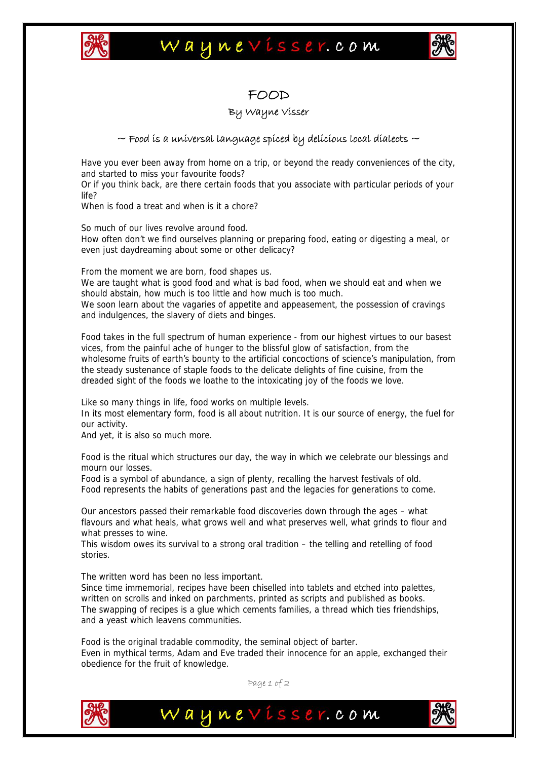

## Waynevisser.com



### FOOD

#### By Wayne Visser

#### $\sim$  Food is a universal language spiced by delicious local dialects  $\sim$

Have you ever been away from home on a trip, or beyond the ready conveniences of the city, and started to miss your favourite foods?

Or if you think back, are there certain foods that you associate with particular periods of your life?

When is food a treat and when is it a chore?

So much of our lives revolve around food.

How often don't we find ourselves planning or preparing food, eating or digesting a meal, or even just daydreaming about some or other delicacy?

From the moment we are born, food shapes us.

We are taught what is good food and what is bad food, when we should eat and when we should abstain, how much is too little and how much is too much.

We soon learn about the vagaries of appetite and appeasement, the possession of cravings and indulgences, the slavery of diets and binges.

Food takes in the full spectrum of human experience - from our highest virtues to our basest vices, from the painful ache of hunger to the blissful glow of satisfaction, from the wholesome fruits of earth's bounty to the artificial concoctions of science's manipulation, from the steady sustenance of staple foods to the delicate delights of fine cuisine, from the dreaded sight of the foods we loathe to the intoxicating joy of the foods we love.

Like so many things in life, food works on multiple levels.

In its most elementary form, food is all about nutrition. It is our source of energy, the fuel for our activity.

And yet, it is also so much more.

Food is the ritual which structures our day, the way in which we celebrate our blessings and mourn our losses.

Food is a symbol of abundance, a sign of plenty, recalling the harvest festivals of old. Food represents the habits of generations past and the legacies for generations to come.

Our ancestors passed their remarkable food discoveries down through the ages – what flavours and what heals, what grows well and what preserves well, what grinds to flour and what presses to wine.

This wisdom owes its survival to a strong oral tradition – the telling and retelling of food stories.

The written word has been no less important.

Since time immemorial, recipes have been chiselled into tablets and etched into palettes, written on scrolls and inked on parchments, printed as scripts and published as books. The swapping of recipes is a glue which cements families, a thread which ties friendships, and a yeast which leavens communities.

Food is the original tradable commodity, the seminal object of barter. Even in mythical terms, Adam and Eve traded their innocence for an apple, exchanged their obedience for the fruit of knowledge.



Page 1 of 2